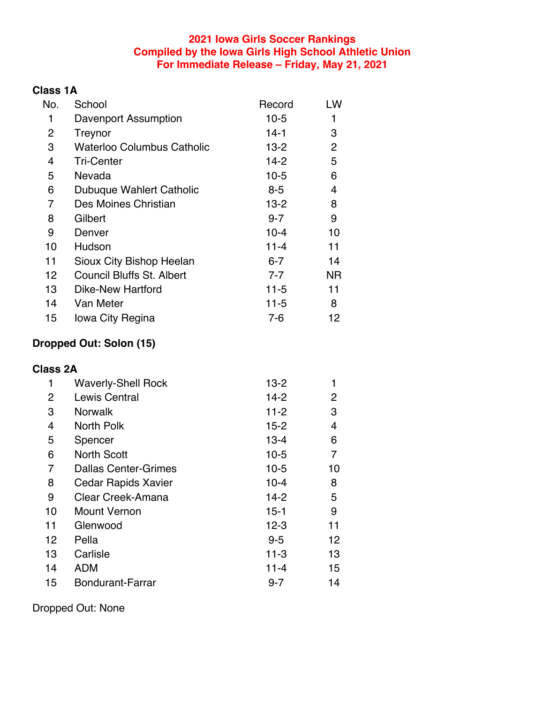#### **2021 Iowa Girls Soccer Rankings Compiled by the Iowa Girls High School Athletic Union For Immediate Release – Friday, May 21, 2021**

# **Class 1A**

| No. | School                           | Record   | LW             |
|-----|----------------------------------|----------|----------------|
| 1   | Davenport Assumption             | $10-5$   | 1              |
| 2   | Treynor                          | $14-1$   | 3              |
| 3   | Waterloo Columbus Catholic       | $13 - 2$ | $\overline{2}$ |
| 4   | <b>Tri-Center</b>                | $14-2$   | 5              |
| 5   | Nevada                           | $10-5$   | 6              |
| 6   | Dubuque Wahlert Catholic         | $8 - 5$  | 4              |
| 7   | Des Moines Christian             | $13 - 2$ | 8              |
| 8   | Gilbert                          | $9 - 7$  | 9              |
| 9   | Denver                           | $10 - 4$ | 10             |
| 10  | Hudson                           | $11 - 4$ | 11             |
| 11  | Sioux City Bishop Heelan         | $6 - 7$  | 14             |
| 12  | <b>Council Bluffs St. Albert</b> | $7 - 7$  | ΝR             |
| 13  | Dike-New Hartford                | 11-5     | 11             |
| 14  | Van Meter                        | $11 - 5$ | 8              |
| 15  | lowa City Regina                 | $7-6$    | 12             |

### **Dropped Out: Solon (15)**

## **Class 2A**

| 1  | <b>Waverly-Shell Rock</b>   | $13 - 2$ |    |
|----|-----------------------------|----------|----|
| 2  | Lewis Central               | $14-2$   | 2  |
| 3  | <b>Norwalk</b>              | $11 - 2$ | 3  |
| 4  | North Polk                  | $15 - 2$ | 4  |
| 5  | Spencer                     | $13 - 4$ | 6  |
| 6  | <b>North Scott</b>          | $10-5$   | 7  |
| 7  | <b>Dallas Center-Grimes</b> | $10-5$   | 10 |
| 8  | Cedar Rapids Xavier         | $10 - 4$ | 8  |
| 9  | Clear Creek-Amana           | $14-2$   | 5  |
| 10 | <b>Mount Vernon</b>         | $15 - 1$ | 9  |
| 11 | Glenwood                    | $12 - 3$ | 11 |
| 12 | Pella                       | $9 - 5$  | 12 |
| 13 | Carlisle                    | $11 - 3$ | 13 |
| 14 | <b>ADM</b>                  | $11 - 4$ | 15 |
| 15 | Bondurant-Farrar            | $9 - 7$  | 14 |

Dropped Out: None